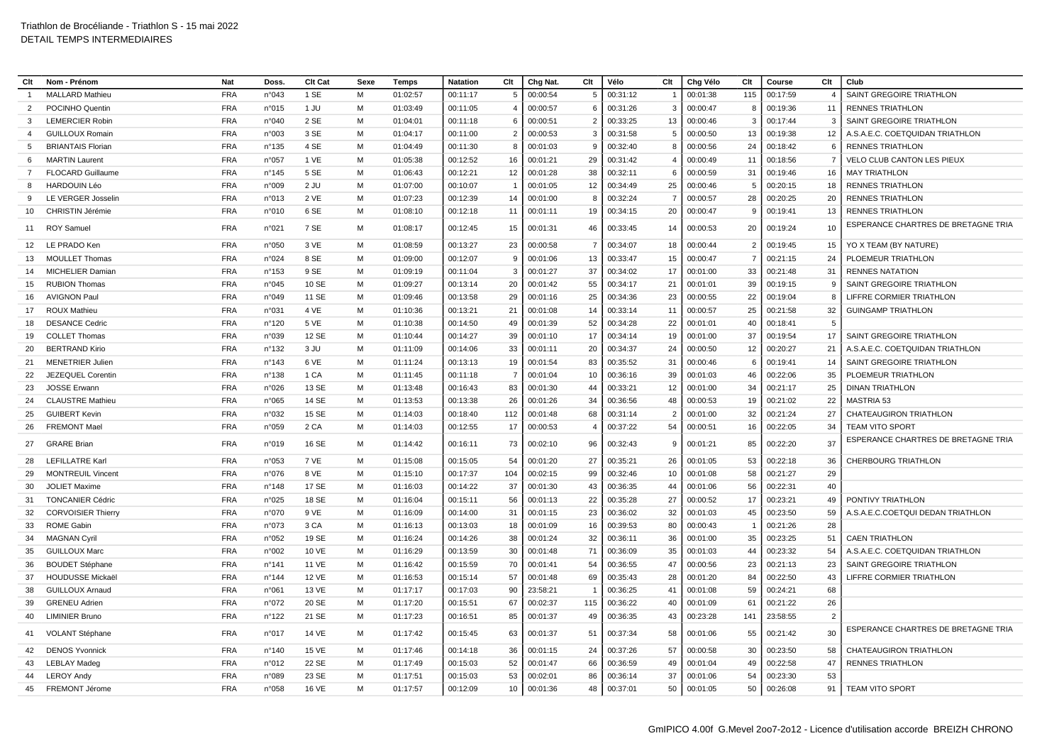| Clt            | Nom - Prénom              | Nat        | <b>Doss</b> | Clt Cat      | Sexe | Temps    | <b>Natation</b> | Clt              | Chg Nat. | Clt            | Vélo     | Clt            | Chg Vélo    | Clt            | Course   | Clt                      | Club                                |
|----------------|---------------------------|------------|-------------|--------------|------|----------|-----------------|------------------|----------|----------------|----------|----------------|-------------|----------------|----------|--------------------------|-------------------------------------|
|                | <b>MALLARD Mathieu</b>    | <b>FRA</b> | n°043       | 1 SE         | M    | 01:02:57 | 00:11:17        | 5                | 00:00:54 | 5              | 00:31:12 |                | 00:01:38    | 115            | 00:17:59 | $\overline{\phantom{a}}$ | SAINT GREGOIRE TRIATHLON            |
| $\overline{2}$ | POCINHO Quentin           | <b>FRA</b> | n°015       | 1 JU         | M    | 01:03:49 | 00:11:05        | $\overline{4}$   | 00:00:57 | 6              | 00:31:26 | 3              | 00:00:47    |                | 00:19:36 | 11                       | <b>RENNES TRIATHLON</b>             |
| 3              | <b>LEMERCIER Robin</b>    | <b>FRA</b> | n°040       | 2 SE         | M    | 01:04:01 | 00:11:18        | 6                | 00:00:51 | $\overline{2}$ | 00:33:25 | 13             | 00:00:46    | 3              | 00:17:44 | 3                        | SAINT GREGOIRE TRIATHLON            |
| $\overline{a}$ | <b>GUILLOUX Romain</b>    | <b>FRA</b> | n°003       | 3 SE         | M    | 01:04:17 | 00:11:00        | $\overline{2}$   | 00:00:53 | 3              | 00:31:58 | 5              | 00:00:50    | 13             | 00:19:38 | 12                       | A.S.A.E.C. COETQUIDAN TRIATHLON     |
| 5              | <b>BRIANTAIS Florian</b>  | <b>FRA</b> | n°135       | 4 SE         | M    | 01:04:49 | 00:11:30        | 8                | 00:01:03 | 9              | 00:32:40 | 8              | 00:00:56    | 24             | 00:18:42 | 6                        | <b>RENNES TRIATHLON</b>             |
| 6              | <b>MARTIN Laurent</b>     | <b>FRA</b> | n°057       | 1 VE         | M    | 01:05:38 | 00:12:52        | 16               | 00:01:21 | 29             | 00:31:42 | $\overline{4}$ | 00:00:49    | 11             | 00:18:56 | -7                       | VELO CLUB CANTON LES PIEUX          |
| 7              | <b>FLOCARD Guillaume</b>  | <b>FRA</b> | n°145       | 5 SE         | M    | 01:06:43 | 00:12:21        | 12               | 00:01:28 | 38             | 00:32:11 | 6              | 00:00:59    | 31             | 00:19:46 | 16                       | <b>MAY TRIATHLON</b>                |
| 8              | <b>HARDOUIN Léo</b>       | <b>FRA</b> | n°009       | $2$ JU       | M    | 01:07:00 | 00:10:07        | $\overline{1}$   | 00:01:05 | 12             | 00:34:49 | 25             | 00:00:46    | 5              | 00:20:15 | 18                       | <b>RENNES TRIATHLON</b>             |
| 9              | LE VERGER Josselin        | <b>FRA</b> | n°013       | 2 VE         | M    | 01:07:23 | 00:12:39        | 14               | 00:01:00 | 8              | 00:32:24 | $\overline{7}$ | 00:00:57    | 28             | 00:20:25 | 20                       | <b>RENNES TRIATHLON</b>             |
| 10             | CHRISTIN Jérémie          | <b>FRA</b> | n°010       | 6 SE         | M    | 01:08:10 | 00:12:18        | 11               | 00:01:11 | 19             | 00:34:15 | 20             | 00:00:47    | 9              | 00:19:41 | 13                       | <b>RENNES TRIATHLON</b>             |
| 11             | <b>ROY Samuel</b>         | <b>FRA</b> | n°021       | 7 SE         | M    | 01:08:17 | 00:12:45        | 15               | 00:01:31 | 46             | 00:33:45 | 14             | 00:00:53    | 20             | 00:19:24 | 10                       | ESPERANCE CHARTRES DE BRETAGNE TRIA |
| 12             | LE PRADO Ken              | <b>FRA</b> | n°050       | 3 VE         | М    | 01:08:59 | 00:13:27        | 23               | 00:00:58 | $\overline{7}$ | 00:34:07 | 18             | 00:00:44    | 2              | 00:19:45 | 15                       | YO X TEAM (BY NATURE)               |
| 13             | <b>MOULLET Thomas</b>     | <b>FRA</b> | n°024       | 8 SE         | M    | 01:09:00 | 00:12:07        | $\boldsymbol{9}$ | 00:01:06 | 13             | 00:33:47 | 15             | 00:00:47    | $\overline{7}$ | 00:21:15 | 24                       | PLOEMEUR TRIATHLON                  |
| 14             | <b>MICHELIER Damian</b>   | <b>FRA</b> | n°153       | 9 SE         | M    | 01:09:19 | 00:11:04        | 3                | 00:01:27 | 37             | 00:34:02 | 17             | 00:01:00    | 33             | 00:21:48 | 31                       | <b>RENNES NATATION</b>              |
| 15             | <b>RUBION Thomas</b>      | <b>FRA</b> | n°045       | 10 SE        | M    | 01:09:27 | 00:13:14        | 20               | 00:01:42 | 55             | 00:34:17 | 21             | 00:01:01    | 39             | 00:19:15 | <b>c</b>                 | SAINT GREGOIRE TRIATHLON            |
| 16             | <b>AVIGNON Paul</b>       | <b>FRA</b> | n°049       | 11 SE        | M    | 01:09:46 | 00:13:58        | 29               | 00:01:16 | 25             | 00:34:36 | 23             | 00:00:55    | 22             | 00:19:04 | 8                        | LIFFRE CORMIER TRIATHLON            |
| 17             | <b>ROUX Mathieu</b>       | <b>FRA</b> | n°031       | 4 VE         | м    | 01:10:36 | 00:13:21        | 21               | 00:01:08 | 14             | 00:33:14 | 11             | 00:00:57    | 25             | 00:21:58 | 32                       | <b>GUINGAMP TRIATHLON</b>           |
| 18             | <b>DESANCE Cedric</b>     | <b>FRA</b> | n°120       | 5 VE         | M    | 01:10:38 | 00:14:50        | 49               | 00:01:39 | 52             | 00:34:28 | 22             | 00:01:01    | 40             | 00:18:41 | 5                        |                                     |
| 19             | <b>COLLET Thomas</b>      | <b>FRA</b> | n°039       | 12 SE        | M    | 01:10:44 | 00:14:27        | 39               | 00:01:10 | 17             | 00:34:14 | 19             | 00:01:00    | 37             | 00:19:54 | 17                       | SAINT GREGOIRE TRIATHLON            |
| 20             | <b>BERTRAND Kirio</b>     | <b>FRA</b> | n°132       | 3 JU         | M    | 01:11:09 | 00:14:06        | 33               | 00:01:11 | 20             | 00:34:37 | 24             | 00:00:50    | 12             | 00:20:27 | 21                       | A.S.A.E.C. COETQUIDAN TRIATHLON     |
| 21             | <b>MENETRIER Julien</b>   | <b>FRA</b> | n°143       | 6 VE         | M    | 01:11:24 | 00:13:13        | 19               | 00:01:54 | 83             | 00:35:52 | 31             | 00:00:46    | 6              | 00:19:41 | 14                       | SAINT GREGOIRE TRIATHLON            |
| 22             | JEZEQUEL Corentin         | <b>FRA</b> | n°138       | 1 CA         | M    | 01:11:45 | 00:11:18        | $\overline{7}$   | 00:01:04 | 10             | 00:36:16 | 39             | 00:01:03    | 46             | 00:22:06 | 35                       | PLOEMEUR TRIATHLON                  |
| 23             | <b>JOSSE Erwann</b>       | <b>FRA</b> | n°026       | 13 SE        | M    | 01:13:48 | 00:16:43        | 83               | 00:01:30 | 44             | 00:33:21 | 12             | 00:01:00    | 34             | 00:21:17 | 25                       | <b>DINAN TRIATHLON</b>              |
| 24             | <b>CLAUSTRE Mathieu</b>   | <b>FRA</b> | n°065       | 14 SE        | M    | 01:13:53 | 00:13:38        | 26               | 00:01:26 | 34             | 00:36:56 | 48             | 00:00:53    | 19             | 00:21:02 | 22                       | <b>MASTRIA 53</b>                   |
| 25             | <b>GUIBERT Kevir</b>      | <b>FRA</b> | n°032       | 15 SE        | M    | 01:14:03 | 00:18:40        | 112              | 00:01:48 | 68             | 00:31:14 | $\overline{2}$ | 00:01:00    | 32             | 00:21:24 | 27                       | CHATEAUGIRON TRIATHLON              |
| 26             | <b>FREMONT Mael</b>       | <b>FRA</b> | n°059       | 2 CA         | M    | 01:14:03 | 00:12:55        | 17               | 00:00:53 | $\overline{4}$ | 00:37:22 | 54             | 00:00:51    | 16             | 00:22:05 | 34                       | <b>TEAM VITO SPORT</b>              |
| 27             | <b>GRARE Brian</b>        | <b>FRA</b> | n°019       | 16 SE        | M    | 01:14:42 | 00:16:11        | 73               | 00:02:10 | 96             | 00:32:43 | 9              | 00:01:21    | 85             | 00:22:20 | 37                       | ESPERANCE CHARTRES DE BRETAGNE TRIA |
| 28             | <b>LEFILLATRE Karl</b>    | <b>FRA</b> | n°053       | 7 VE         | м    | 01:15:08 | 00:15:05        | 54               | 00:01:20 | 27             | 00:35:21 | 26             | 00:01:05    | 53             | 00:22:18 | 36                       | <b>CHERBOURG TRIATHLON</b>          |
| 29             | <b>MONTREUIL Vincent</b>  | <b>FRA</b> | n°076       | 8 VE         | M    | 01:15:10 | 00:17:37        | 104              | 00:02:15 | 99             | 00:32:46 | 10             | 00:01:08    | 58             | 00:21:27 | 29                       |                                     |
| 30             | <b>JOLIET Maxime</b>      | <b>FRA</b> | n°148       | 17 SE        | м    | 01:16:03 | 00:14:22        | 37               | 00:01:30 | 43             | 00:36:35 | 44             | 00:01:06    | 56             | 00:22:31 | 40                       |                                     |
| 31             | <b>TONCANIER Cédric</b>   | <b>FRA</b> | n°025       | 18 SE        | M    | 01:16:04 | 00:15:11        | 56               | 00:01:13 | 22             | 00:35:28 | 27             | 00:00:52    | 17             | 00:23:21 | 49                       | PONTIVY TRIATHLON                   |
| 32             | <b>CORVOISIER Thierry</b> | <b>FRA</b> | n°070       | 9 VE         | M    | 01:16:09 | 00:14:00        | 31               | 00:01:15 | 23             | 00:36:02 | 32             | 00:01:03    | 45             | 00:23:50 | 59                       | A.S.A.E.C.COETQUI DEDAN TRIATHLON   |
| 33             | <b>ROME Gabin</b>         | <b>FRA</b> | n°073       | 3 CA         | M    | 01:16:13 | 00:13:03        | 18               | 00:01:09 | 16             | 00:39:53 | 80             | 00:00:43    | $\overline{1}$ | 00:21:26 | 28                       |                                     |
| 34             | <b>MAGNAN Cyril</b>       | <b>FRA</b> | n°052       | 19 SE        | M    | 01:16:24 | 00:14:26        | 38               | 00:01:24 | 32             | 00:36:11 | 36             | 00:01:00    | 35             | 00:23:25 | 51                       | <b>CAEN TRIATHLON</b>               |
| 35             | <b>GUILLOUX Marc</b>      | <b>FRA</b> | n°002       | 10 VE        | M    | 01:16:29 | 00:13:59        | 30               | 00:01:48 | 71             | 00:36:09 | 35             | 00:01:03    | 44             | 00:23:32 | 54                       | A.S.A.E.C. COETQUIDAN TRIATHLON     |
| 36             | <b>BOUDET Stéphane</b>    | <b>FRA</b> | n°141       | 11 VE        | M    | 01:16:42 | 00:15:59        | 70               | 00:01:41 | 54             | 00:36:55 | 47             | 00:00:56    | 23             | 00:21:13 | 23                       | SAINT GREGOIRE TRIATHLON            |
| 37             | HOUDUSSE Mickaël          | <b>FRA</b> | n°144       | 12 VE        | M    | 01:16:53 | 00:15:14        | 57               | 00:01:48 | 69             | 00:35:43 | 28             | 00:01:20    | 84             | 00:22:50 | 43                       | LIFFRE CORMIER TRIATHLON            |
| 38             | <b>GUILLOUX Arnaud</b>    | <b>FRA</b> | n°061       | 13 VE        | M    | 01:17:17 | 00:17:03        | 90               | 23:58:21 | $\overline{1}$ | 00:36:25 | 41             | 00:01:08    | 59             | 00:24:21 | 68                       |                                     |
| 39             | <b>GRENEU Adrien</b>      | <b>FRA</b> | n°072       | 20 SE        | M    | 01:17:20 | 00:15:51        | 67               | 00:02:37 | 115            | 00:36:22 | 40             | 00:01:09    | 61             | 00:21:22 | 26                       |                                     |
| 40             | <b>LIMINIER Bruno</b>     | <b>FRA</b> | n°122       | 21 SE        | M    | 01:17:23 | 00:16:51        | 85               | 00:01:37 | 49             | 00:36:35 | 43             | 00:23:28    | 141            | 23:58:55 | $\overline{2}$           |                                     |
| 41             | VOLANT Stéphane           | <b>FRA</b> | n°017       | 14 VE        | M    | 01:17:42 | 00:15:45        | 63               | 00:01:37 | 51             | 00:37:34 | 58             | 00:01:06    | 55             | 00:21:42 | 30                       | ESPERANCE CHARTRES DE BRETAGNE TRIA |
| 42             | <b>DENOS Yvonnick</b>     | <b>FRA</b> | n°140       | <b>15 VE</b> | M    | 01:17:46 | 00:14:18        | 36               | 00:01:15 | 24             | 00:37:26 | 57             | 00:00:58    | 30             | 00:23:50 | 58                       | <b>CHATEAUGIRON TRIATHLON</b>       |
| 43             | <b>LEBLAY Madeg</b>       | <b>FRA</b> | n°012       | 22 SE        | M    | 01:17:49 | 00:15:03        | 52               | 00:01:47 | 66             | 00:36:59 | 49             | 00:01:04    | 49             | 00:22:58 | 47                       | <b>RENNES TRIATHLON</b>             |
| 44             | <b>LEROY Andy</b>         | <b>FRA</b> | n°089       | 23 SE        | M    | 01:17:51 | 00:15:03        | 53               | 00:02:01 | 86             | 00:36:14 | 37             | 00:01:06    | 54             | 00:23:30 | 53                       |                                     |
| 45             | FREMONT Jérome            | <b>FRA</b> | n°058       | <b>16 VE</b> | M    | 01:17:57 | 00:12:09        | 10               | 00:01:36 | 48             | 00:37:01 |                | 50 00:01:05 | 50             | 00:26:08 | 91                       | <b>TEAM VITO SPORT</b>              |
|                |                           |            |             |              |      |          |                 |                  |          |                |          |                |             |                |          |                          |                                     |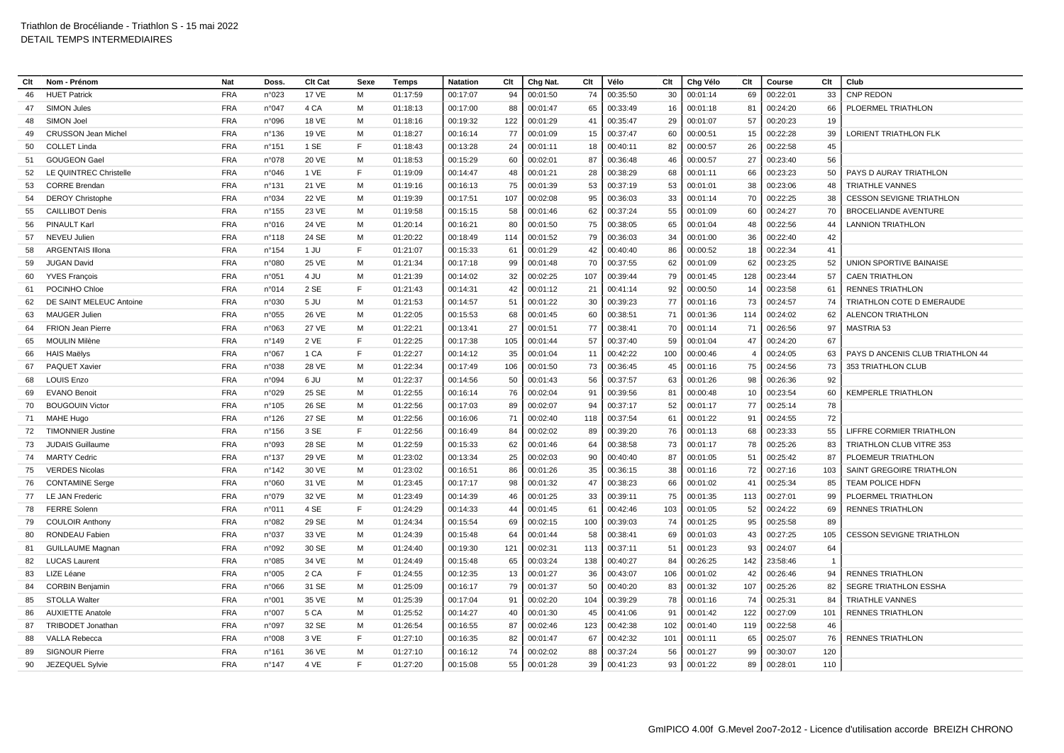| Clt | Nom - Prénom               | <b>Nat</b> | Doss.           | Clt Cat      | Sexe | Temps    | <b>Natation</b> | Clt | Chg Nat. | Clt | Vélo     | Clt | Chg Vélo    | Clt            | Course   | Clt            | Club                             |
|-----|----------------------------|------------|-----------------|--------------|------|----------|-----------------|-----|----------|-----|----------|-----|-------------|----------------|----------|----------------|----------------------------------|
| 46  | <b>HUET Patrick</b>        | <b>FRA</b> | n°023           | <b>17 VE</b> | M    | 01:17:59 | 00:17:07        | 94  | 00:01:50 | 74  | 00:35:50 | 30  | 00:01:14    | 69             | 00:22:01 | 33             | <b>CNP REDON</b>                 |
| 47  | <b>SIMON Jules</b>         | <b>FRA</b> | n°047           | 4 CA         | м    | 01:18:13 | 00:17:00        | 88  | 00:01:47 | 65  | 00:33:49 | 16  | 00:01:18    | 81             | 00:24:20 | 66             | PLOERMEL TRIATHLON               |
| 48  | SIMON Joel                 | <b>FRA</b> | n°096           | 18 VE        | M    | 01:18:16 | 00:19:32        | 122 | 00:01:29 | 41  | 00:35:47 | 29  | 00:01:07    | 57             | 00:20:23 | 19             |                                  |
| 49  | <b>CRUSSON Jean Michel</b> | <b>FRA</b> | n°136           | 19 VE        | м    | 01:18:27 | 00:16:14        | 77  | 00:01:09 | 15  | 00:37:47 | 60  | 00:00:51    | 15             | 00:22:28 | 39             | LORIENT TRIATHLON FLK            |
| 50  | <b>COLLET Linda</b>        | <b>FRA</b> | n°151           | 1 SE         | F    | 01:18:43 | 00:13:28        | 24  | 00:01:11 | 18  | 00:40:11 | 82  | 00:00:57    | 26             | 00:22:58 | 45             |                                  |
| 51  | <b>GOUGEON Gael</b>        | <b>FRA</b> | n°078           | 20 VE        | M    | 01:18:53 | 00:15:29        | 60  | 00:02:01 | 87  | 00:36:48 | 46  | 00:00:57    | 27             | 00:23:40 | 56             |                                  |
| 52  | LE QUINTREC Christelle     | <b>FRA</b> | n°046           | 1 VE         | F    | 01:19:09 | 00:14:47        | 48  | 00:01:21 | 28  | 00:38:29 | 68  | 00:01:11    | 66             | 00:23:23 | 50             | PAYS D AURAY TRIATHLON           |
| 53  | <b>CORRE Brendan</b>       | <b>FRA</b> | n°131           | 21 VE        | м    | 01:19:16 | 00:16:13        | 75  | 00:01:39 | 53  | 00:37:19 | 53  | 00:01:01    | 38             | 00:23:06 | 48             | <b>TRIATHLE VANNES</b>           |
| 54  | <b>DEROY Christophe</b>    | <b>FRA</b> | n°034           | <b>22 VE</b> | M    | 01:19:39 | 00:17:51        | 107 | 00:02:08 | 95  | 00:36:03 | 33  | 00:01:14    | 70             | 00:22:25 | 38             | <b>CESSON SEVIGNE TRIATHLON</b>  |
| 55  | <b>CAILLIBOT Denis</b>     | <b>FRA</b> | $n^{\circ}$ 155 | 23 VE        | M    | 01:19:58 | 00:15:15        | 58  | 00:01:46 | 62  | 00:37:24 | 55  | 00:01:09    | 60             | 00:24:27 | 70             | <b>BROCELIANDE AVENTURE</b>      |
| 56  | <b>PINAULT Karl</b>        | <b>FRA</b> | n°016           | 24 VE        | M    | 01:20:14 | 00:16:21        | 80  | 00:01:50 | 75  | 00:38:05 | 65  | 00:01:04    | 48             | 00:22:56 | 44             | <b>LANNION TRIATHLON</b>         |
| 57  | NEVEU Julien               | <b>FRA</b> | $n^{\circ}$ 118 | 24 SE        | M    | 01:20:22 | 00:18:49        | 114 | 00:01:52 | 79  | 00:36:03 | 34  | 00:01:00    | 36             | 00:22:40 | 42             |                                  |
| 58  | <b>ARGENTAIS Illona</b>    | <b>FRA</b> | n°154           | 1 JU         | F    | 01:21:07 | 00:15:33        | 61  | 00:01:29 | 42  | 00:40:40 | 86  | 00:00:52    | 18             | 00:22:34 | 41             |                                  |
| 59  | <b>JUGAN David</b>         | <b>FRA</b> | n°080           | 25 VE        | м    | 01:21:34 | 00:17:18        | 99  | 00:01:48 | 70  | 00:37:55 | 62  | 00:01:09    | 62             | 00:23:25 | 52             | UNION SPORTIVE BAINAISE          |
| 60  | <b>YVES François</b>       | <b>FRA</b> | n°051           | 4 JU         | M    | 01:21:39 | 00:14:02        | 32  | 00:02:25 | 107 | 00:39:44 | 79  | 00:01:45    | 128            | 00:23:44 | 57             | <b>CAEN TRIATHLON</b>            |
| 61  | POCINHO Chloe              | <b>FRA</b> | n°014           | 2 SE         | E    | 01:21:43 | 00:14:31        | 42  | 00:01:12 | 21  | 00:41:14 | 92  | 00:00:50    | 14             | 00:23:58 | 61             | <b>RENNES TRIATHLON</b>          |
| 62  | DE SAINT MELEUC Antoine    | <b>FRA</b> | n°030           | 5 JU         | м    | 01:21:53 | 00:14:57        | 51  | 00:01:22 | 30  | 00:39:23 | 77  | 00:01:16    | 73             | 00:24:57 | 74             | TRIATHLON COTE D EMERAUDE        |
| 63  | <b>MAUGER Julien</b>       | <b>FRA</b> | n°055           | 26 VE        | M    | 01:22:05 | 00:15:53        | 68  | 00:01:45 | 60  | 00:38:51 | 71  | 00:01:36    | 114            | 00:24:02 | 62             | <b>ALENCON TRIATHLON</b>         |
| 64  | FRION Jean Pierre          | <b>FRA</b> | n°063           | <b>27 VE</b> | M    | 01:22:21 | 00:13:41        | 27  | 00:01:51 | 77  | 00:38:41 | 70  | 00:01:14    | 71             | 00:26:56 | 97             | <b>MASTRIA 53</b>                |
| 65  | <b>MOULIN Milène</b>       | <b>FRA</b> | n°149           | 2 VE         | F    | 01:22:25 | 00:17:38        | 105 | 00:01:44 | 57  | 00:37:40 | 59  | 00:01:04    | 47             | 00:24:20 | 67             |                                  |
| 66  | <b>HAIS Maëlys</b>         | <b>FRA</b> | n°067           | 1 CA         | E    | 01:22:27 | 00:14:12        | 35  | 00:01:04 | 11  | 00:42:22 | 100 | 00:00:46    | $\overline{4}$ | 00:24:05 | 63             | PAYS D ANCENIS CLUB TRIATHLON 44 |
| 67  | PAQUET Xavier              | <b>FRA</b> | n°038           | 28 VE        | M    | 01:22:34 | 00:17:49        | 106 | 00:01:50 | 73  | 00:36:45 | 45  | 00:01:16    | 75             | 00:24:56 | 73             | 353 TRIATHLON CLUB               |
| 68  | <b>LOUIS Enzo</b>          | <b>FRA</b> | n°094           | 6 JU         | м    | 01:22:37 | 00:14:56        | 50  | 00:01:43 | 56  | 00:37:57 | 63  | 00:01:26    | 98             | 00:26:36 | 92             |                                  |
| 69  | <b>EVANO Benoit</b>        | <b>FRA</b> | n°029           | 25 SE        | M    | 01:22:55 | 00:16:14        | 76  | 00:02:04 | 91  | 00:39:56 | 81  | 00:00:48    | 10             | 00:23:54 | 60             | <b>KEMPERLE TRIATHLON</b>        |
| 70  | <b>BOUGOUIN Victor</b>     | <b>FRA</b> | n°105           | 26 SE        | M    | 01:22:56 | 00:17:03        | 89  | 00:02:07 | 94  | 00:37:17 | 52  | 00:01:17    | 77             | 00:25:14 | 78             |                                  |
| 71  | <b>MAHE Hugo</b>           | <b>FRA</b> | n°126           | 27 SE        | м    | 01:22:56 | 00:16:06        | 71  | 00:02:40 | 118 | 00:37:54 | 61  | 00:01:22    | 91             | 00:24:55 | 72             |                                  |
| 72  | <b>TIMONNIER Justine</b>   | <b>FRA</b> | $n^{\circ}$ 156 | 3 SE         | E    | 01:22:56 | 00:16:49        | 84  | 00:02:02 | 89  | 00:39:20 | 76  | 00:01:13    | 68             | 00:23:33 | 55             | LIFFRE CORMIER TRIATHLON         |
| 73  | <b>JUDAIS Guillaume</b>    | <b>FRA</b> | n°093           | 28 SE        | M    | 01:22:59 | 00:15:33        | 62  | 00:01:46 | 64  | 00:38:58 | 73  | 00:01:17    | 78             | 00:25:26 | 83             | TRIATHLON CLUB VITRE 353         |
| 74  | <b>MARTY Cedric</b>        | <b>FRA</b> | n°137           | 29 VE        | м    | 01:23:02 | 00:13:34        | 25  | 00:02:03 | 90  | 00:40:40 | 87  | 00:01:05    | 51             | 00:25:42 | 87             | PLOEMEUR TRIATHLON               |
| 75  | <b>VERDES Nicolas</b>      | <b>FRA</b> | $n^{\circ}$ 142 | 30 VE        | M    | 01:23:02 | 00:16:51        | 86  | 00:01:26 | 35  | 00:36:15 | 38  | 00:01:16    | 72             | 00:27:16 | 103            | SAINT GREGOIRE TRIATHLON         |
| 76  | <b>CONTAMINE Serge</b>     | <b>FRA</b> | n°060           | 31 VE        | M    | 01:23:45 | 00:17:17        | 98  | 00:01:32 | 47  | 00:38:23 | 66  | 00:01:02    | 41             | 00:25:34 | 85             | <b>TEAM POLICE HDFN</b>          |
| 77  | <b>LE JAN Frederic</b>     | <b>FRA</b> | n°079           | 32 VE        | м    | 01:23:49 | 00:14:39        | 46  | 00:01:25 | 33  | 00:39:11 | 75  | 00:01:35    | 113            | 00:27:01 | 99             | PLOERMEL TRIATHLON               |
| 78  | <b>FERRE Solenn</b>        | <b>FRA</b> | n°011           | 4 SE         | E    | 01:24:29 | 00:14:33        | 44  | 00:01:45 | 61  | 00:42:46 | 103 | 00:01:05    | 52             | 00:24:22 | 69             | <b>RENNES TRIATHLON</b>          |
| 79  | <b>COULOIR Anthony</b>     | <b>FRA</b> | n°082           | 29 SE        | М    | 01:24:34 | 00:15:54        | 69  | 00:02:15 | 100 | 00:39:03 | 74  | 00:01:25    | 95             | 00:25:58 | 89             |                                  |
| 80  | RONDEAU Fabien             | <b>FRA</b> | n°037           | 33 VE        | M    | 01:24:39 | 00:15:48        | 64  | 00:01:44 | 58  | 00:38:41 | 69  | 00:01:03    | 43             | 00:27:25 | 105            | <b>CESSON SEVIGNE TRIATHLON</b>  |
| 81  | <b>GUILLAUME Magnan</b>    | <b>FRA</b> | n°092           | 30 SE        | M    | 01:24:40 | 00:19:30        | 121 | 00:02:31 | 113 | 00:37:11 | 51  | 00:01:23    | 93             | 00:24:07 | 64             |                                  |
| 82  | <b>LUCAS Laurent</b>       | <b>FRA</b> | n°085           | 34 VE        | M    | 01:24:49 | 00:15:48        | 65  | 00:03:24 | 138 | 00:40:27 | 84  | 00:26:25    | 142            | 23:58:46 | $\overline{1}$ |                                  |
| 83  | LIZE Léane                 | <b>FRA</b> | n°005           | 2 CA         | F    | 01:24:55 | 00:12:35        | 13  | 00:01:27 | 36  | 00:43:07 | 106 | 00:01:02    | 42             | 00:26:46 | 94             | <b>RENNES TRIATHLON</b>          |
| 84  | <b>CORBIN Benjamin</b>     | <b>FRA</b> | n°066           | 31 SE        | M    | 01:25:09 | 00:16:17        | 79  | 00:01:37 | 50  | 00:40:20 | 83  | 00:01:32    | 107            | 00:25:26 | 82             | <b>SEGRE TRIATHLON ESSHA</b>     |
| 85  | <b>STOLLA Walter</b>       | <b>FRA</b> | n°001           | 35 VE        | M    | 01:25:39 | 00:17:04        | 91  | 00:02:20 | 104 | 00:39:29 | 78  | 00:01:16    | 74             | 00:25:31 | 84             | <b>TRIATHLE VANNES</b>           |
| 86  | <b>AUXIETTE Anatole</b>    | <b>FRA</b> | n°007           | 5 CA         | м    | 01:25:52 | 00:14:27        | 40  | 00:01:30 | 45  | 00:41:06 | 91  | 00:01:42    | 122            | 00:27:09 | 101            | <b>RENNES TRIATHLON</b>          |
| 87  | <b>TRIBODET Jonathan</b>   | <b>FRA</b> | n°097           | 32 SE        | M    | 01:26:54 | 00:16:55        | 87  | 00:02:46 | 123 | 00:42:38 | 102 | 00:01:40    | 119            | 00:22:58 | 46             |                                  |
| 88  | <b>VALLA Rebecca</b>       | <b>FRA</b> | n°008           | 3 VE         | F    | 01:27:10 | 00:16:35        | 82  | 00:01:47 | 67  | 00:42:32 | 101 | 00:01:11    | 65             | 00:25:07 | 76             | <b>RENNES TRIATHLON</b>          |
| 89  | <b>SIGNOUR Pierre</b>      | <b>FRA</b> | $n^{\circ}$ 161 | 36 VE        | м    | 01:27:10 | 00:16:12        | 74  | 00:02:02 | 88  | 00:37:24 | 56  | 00:01:27    | 99             | 00:30:07 | 120            |                                  |
| 90  | JEZEQUEL Sylvie            | <b>FRA</b> | $n^{\circ}$ 147 | 4 VE         | F    | 01:27:20 | 00:15:08        | 55  | 00:01:28 | 39  | 00:41:23 |     | 93 00:01:22 | 89             | 00:28:01 | 110            |                                  |
|     |                            |            |                 |              |      |          |                 |     |          |     |          |     |             |                |          |                |                                  |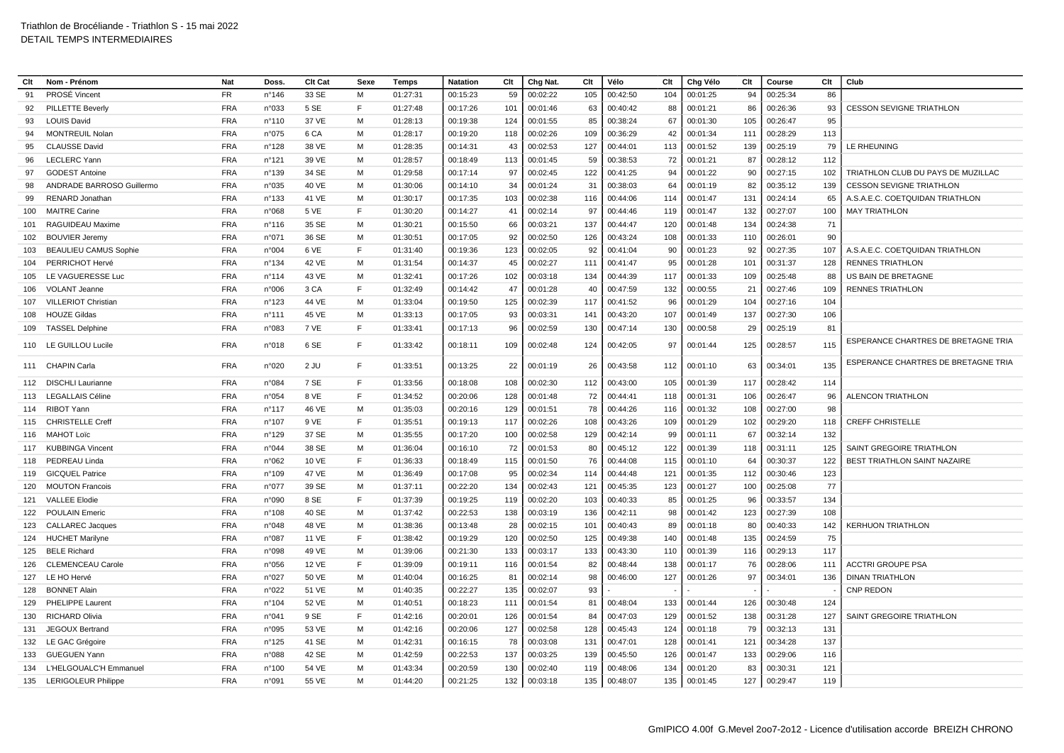| Clt | Nom - Prénom                           | <b>Nat</b>               | Doss            | Clt Cat        | Sexe   | Temps                | Clt<br>Natation             |     | Chg Nat.<br>Clt      |            | Vélo                 | Clt        | Chg Vélo             | Clt        | Course               | Clt        | Club                                       |
|-----|----------------------------------------|--------------------------|-----------------|----------------|--------|----------------------|-----------------------------|-----|----------------------|------------|----------------------|------------|----------------------|------------|----------------------|------------|--------------------------------------------|
| 91  | <b>PROSÉ Vincent</b>                   | <b>FR</b>                | $n^{\circ}$ 146 | 33 SE          | M      | 01:27:31             | 00:15:23                    | 59  | 00:02:22             | 105        | 00:42:50             | 104        | 00:01:25             | 94         | 00:25:34             | 86         |                                            |
| 92  | PILLETTE Beverly                       | <b>FRA</b>               | n°033           | 5 SE           | E      | 01:27:48             | 00:17:26<br>101             |     | 00:01:46             | 63         | 00:40:42             | 88         | 00:01:21             | 86         | 00:26:36             | 93         | <b>CESSON SEVIGNE TRIATHLON</b>            |
| 93  | <b>LOUIS David</b>                     | <b>FRA</b>               | $n^{\circ}110$  | 37 VE          | M      | 01:28:13             | 124<br>00:19:38             |     | 00:01:55             | 85         | 00:38:24             | 67         | 00:01:30             | 105        | 00:26:47             | 95         |                                            |
| 94  | <b>MONTREUIL Nolan</b>                 | <b>FRA</b>               | n°075           | 6 CA           | м      | 01:28:17             | 00:19:20<br>118             |     | 00:02:26             | 109        | 00:36:29             | 42         | 00:01:34             | 111        | 00:28:29             | 113        |                                            |
| 95  | <b>CLAUSSE David</b>                   | <b>FRA</b>               | n°128           | 38 VE          | м      | 01:28:35             | 00:14:31                    | 43  | 00:02:53             | 127        | 00:44:01             | 113        | 00:01:52             | 139        | 00:25:19             | 79         | LE RHEUNING                                |
| 96  | <b>LECLERC</b> Yann                    | <b>FRA</b>               | n°121           | 39 VE          | M      | 01:28:57             | 113<br>00:18:49             |     | 00:01:45             | 59         | 00:38:53             | 72         | 00:01:21             | 87         | 00:28:12             | 112        |                                            |
| 97  | <b>GODEST Antoine</b>                  | <b>FRA</b>               | n°139           | 34 SE          | M      | 01:29:58             | 00:17:14                    | 97  | 00:02:45             | 122        | 00:41:25             | 94         | 00:01:22             | 90         | 00:27:15             | 102        | TRIATHLON CLUB DU PAYS DE MUZILLAC         |
| 98  | ANDRADE BARROSO Guillermo              | <b>FRA</b>               | n°035           | 40 VE          | м      | 01:30:06             | 00:14:10                    | 34  | 00:01:24             | 31         | 00:38:03             | 64         | 00:01:19             | 82         | 00:35:12             | 139        | <b>CESSON SEVIGNE TRIATHLON</b>            |
| 99  | RENARD Jonathan                        | <b>FRA</b>               | $n^{\circ}$ 133 | 41 VE          | M      | 01:30:17             | 00:17:35                    | 103 | 00:02:38             | 116        | 00:44:06             | 114        | 00:01:47             | 131        | 00:24:14             | 65         | A.S.A.E.C. COETQUIDAN TRIATHLON            |
| 100 | <b>MAITRE Carine</b>                   | <b>FRA</b>               | n°068           | 5 VE           | E      | 01:30:20             | 00:14:27                    | 41  | 00:02:14             | 97         | 00:44:46             | 119        | 00:01:47             | 132        | 00:27:07             | 100        | <b>MAY TRIATHLON</b>                       |
| 101 | RAGUIDEAU Maxime                       | <b>FRA</b>               | $n^{\circ}$ 116 | 35 SE          | M      | 01:30:21             | 00:15:50                    | 66  | 00:03:21             | 137        | 00:44:47             | 120        | 00:01:48             | 134        | 00:24:38             | 71         |                                            |
| 102 | <b>BOUVIER Jeremy</b>                  | <b>FRA</b>               | n°071           | 36 SE          | M      | 01:30:51             | 00:17:05                    | 92  | 00:02:50             | 126        | 00:43:24             | 108        | 00:01:33             | 110        | 00:26:01             | 90         |                                            |
| 103 | <b>BEAULIEU CAMUS Sophie</b>           | <b>FRA</b>               | n°004           | 6 VE           | F      | 01:31:40             | 123<br>00:19:36             |     | 00:02:05             | 92         | 00:41:04             | 90         | 00:01:23             | 92         | 00:27:35             | 107        | A.S.A.E.C. COETQUIDAN TRIATHLON            |
| 104 | PERRICHOT Hervé                        | <b>FRA</b>               | n°134           | 42 VE          | M      | 01:31:54             | 00:14:37                    | 45  | 00:02:27             | 111        | 00:41:47             | 95         | 00:01:28             | 101        | 00:31:37             | 128        | <b>RENNES TRIATHLON</b>                    |
| 105 | LE VAGUERESSE Luc                      | <b>FRA</b>               | $n^{\circ}$ 114 | 43 VE          | M      | 01:32:41             | 00:17:26                    | 102 | 00:03:18             | 134        | 00:44:39             | 117        | 00:01:33             | 109        | 00:25:48             | 88         | US BAIN DE BRETAGNE                        |
| 106 | <b>VOLANT Jeanne</b>                   | <b>FRA</b>               | n°006           | 3 CA           | E      | 01:32:49             | 00:14:42                    | 47  | 00:01:28             | 40         | 00:47:59             | 132        | 00:00:55             | 21         | 00:27:46             | 109        | <b>RENNES TRIATHLON</b>                    |
| 107 | VILLERIOT Christian                    | <b>FRA</b>               | n°123           | 44 VE          | M      | 01:33:04             | 00:19:50                    | 125 | 00:02:39             | 117        | 00:41:52             | 96         | 00:01:29             | 104        | 00:27:16             | 104        |                                            |
| 108 | <b>HOUZE Gildas</b>                    | <b>FRA</b>               | n°111           | 45 VE          | м      | 01:33:13             | 00:17:05                    | 93  | 00:03:31             | 141        | 00:43:20             | 107        | 00:01:49             | 137        | 00:27:30             | 106        |                                            |
| 109 | <b>TASSEL Delphine</b>                 | <b>FRA</b>               | n°083           | 7 VE           | F      | 01:33:41             | 00:17:13                    | 96  | 00:02:59             | 130        | 00:47:14             | 130        | 00:00:58             | 29         | 00:25:19             | 81         |                                            |
|     | 110 LE GUILLOU Lucile                  | <b>FRA</b>               | n°018           | 6 SE           | E      | 01:33:42             | 00:18:11                    | 109 | 00:02:48             | 124        | 00:42:05             | 97         | 00:01:44             | 125        | 00:28:57             | 115        | ESPERANCE CHARTRES DE BRETAGNE TRIA        |
|     | 111 CHAPIN Carla                       | <b>FRA</b>               | n°020           | 2 JU           | F      | 01:33:51             | 00:13:25                    | 22  | 00:01:19             | 26         | 00:43:58             | 112        | 00:01:10             | 63         | 00:34:01             | 135        | ESPERANCE CHARTRES DE BRETAGNE TRIA        |
| 112 | <b>DISCHLI Laurianne</b>               | <b>FRA</b>               | n°084           | 7 SE           | F      | 01:33:56             | 00:18:08<br>108             |     | 00:02:30             | 112        | 00:43:00             | 105        | 00:01:39             | 117        | 00:28:42             | 114        |                                            |
| 113 | <b>LEGALLAIS Céline</b>                | <b>FRA</b>               | n°054           | 8 VE           | E      | 01:34:52             | 128<br>00:20:06             |     | 00:01:48             | 72         | 00:44:41             | 118        | 00:01:31             | 106        | 00:26:47             | 96         | <b>ALENCON TRIATHLON</b>                   |
| 114 | RIBOT Yann                             | <b>FRA</b>               | n°117           | 46 VE          | M      | 01:35:03             | 00:20:16<br>129             |     | 00:01:51             | 78         | 00:44:26             | 116        | 00:01:32             | 108        | 00:27:00             | 98         |                                            |
| 115 | <b>CHRISTELLE Creff</b>                | <b>FRA</b>               | n°107           | 9 VE           | F      | 01:35:51             | 00:19:13<br>117             |     | 00:02:26             | 108        | 00:43:26             | 109        | 00:01:29             | 102        | 00:29:20             | 118        | <b>CREFF CHRISTELLE</b>                    |
| 116 | MAHOT Loïc                             | <b>FRA</b>               | $n^{\circ}$ 129 | 37 SE          | M      | 01:35:55             | 00:17:20                    | 100 | 00:02:58             | 129        | 00:42:14             | 99         | 00:01:11             | 67         | 00:32:14             | 132        |                                            |
| 117 | <b>KUBBINGA Vincent</b>                | <b>FRA</b>               | n°044           | 38 SE          | м      | 01:36:04             | 00:16:10                    | 72  | 00:01:53             | 80         | 00:45:12             | 122        | 00:01:39             | 118        | 00:31:11             | 125        | SAINT GREGOIRE TRIATHLON                   |
| 118 | PEDREAU Linda                          | <b>FRA</b>               | n°062           | 10 VE          | E      | 01:36:33             | 00:18:49<br>115             |     | 00:01:50             | 76         | 00:44:08             | 115        | 00:01:10             | 64         | 00:30:37             | 122        | BEST TRIATHLON SAINT NAZAIRE               |
| 119 | <b>GICQUEL Patrice</b>                 | <b>FRA</b>               | $n^{\circ}109$  | 47 VE          | M      | 01:36:49             | 00:17:08                    | 95  | 00:02:34             | 114        | 00:44:48             | 121        | 00:01:35             | 112        | 00:30:46             | 123        |                                            |
| 120 | <b>MOUTON Francois</b>                 | <b>FRA</b>               | n°077           | 39 SE          | м      | 01:37:11             | 00:22:20<br>134             |     | 00:02:43             | 121        | 00:45:35             | 123        | 00:01:27             | 100        | 00:25:08             | 77         |                                            |
| 121 | <b>VALLEE Elodie</b>                   | <b>FRA</b>               | n°090           | 8 SE           | F      | 01:37:39             | 119<br>00:19:25             |     | 00:02:20             | 103        | 00:40:33             | 85         | 00:01:25             | 96         | 00:33:57             | 134        |                                            |
| 122 | <b>POULAIN Emeric</b>                  | <b>FRA</b>               | n°108           | 40 SE          | M      | 01:37:42             | 138<br>00:22:53             |     | 00:03:19             | 136        | 00:42:11             | 98         | 00:01:42             | 123        | 00:27:39             | 108        |                                            |
| 123 | <b>CALLAREC Jacques</b>                | <b>FRA</b>               | n°048           | 48 VE          | м      | 01:38:36             | 00:13:48                    | 28  | 00:02:15             | 101        | 00:40:43             | 89         | 00:01:18             | 80         | 00:40:33             | 142        | <b>KERHUON TRIATHLON</b>                   |
| 124 | <b>HUCHET Marilyne</b>                 | <b>FRA</b>               | n°087           | 11 VE          | F      | 01:38:42             | 00:19:29<br>120             |     | 00:02:50             | 125        | 00:49:38             | 140        | 00:01:48             | 135        | 00:24:59             | 75         |                                            |
| 125 | <b>BELE Richard</b>                    | <b>FRA</b>               | n°098           | 49 VE          | M      | 01:39:06             | 133<br>00:21:30             |     | 00:03:17             | 133        | 00:43:30             | 110        | 00:01:39             | 116        | 00:29:13             | 117        |                                            |
| 126 | <b>CLEMENCEAU Carole</b>               | <b>FRA</b>               | n°056           | 12 VE          | E      | 01:39:09             | 00:19:11<br>116             |     | 00:01:54             | 82         | 00:48:44             | 138        | 00:01:17             | 76         | 00:28:06             | 111        | <b>ACCTRI GROUPE PSA</b>                   |
| 127 | LE HO Hervé                            | <b>FRA</b>               | n°027           | 50 VE          | M      | 01:40:04             | 00:16:25                    | 81  | 00:02:14             | 98<br>93   | 00:46:00             | 127        | 00:01:26             | 97         | 00:34:01             | 136        | <b>DINAN TRIATHLON</b><br><b>CNP REDON</b> |
| 128 | <b>BONNET Alain</b>                    | <b>FRA</b>               | n°022           | 51 VE          | M      | 01:40:35             | 00:22:27<br>135             |     | 00:02:07             |            |                      |            |                      |            |                      |            |                                            |
| 129 | PHELIPPE Laurent                       | <b>FRA</b>               | n°104           | 52 VE          | м<br>E | 01:40:51             | 111<br>00:18:23             |     | 00:01:54             | 81         | 00:48:04             | 133        | 00:01:44             | 126        | 00:30:48             | 124        |                                            |
| 130 | <b>RICHARD Olivia</b>                  | <b>FRA</b><br><b>FRA</b> | n°041<br>n°095  | 9 SE           | M      | 01:42:16             | 00:20:01                    | 126 | 00:01:54             | 84         | 00:47:03             | 129<br>124 | 00:01:52             | 138<br>79  | 00:31:28             | 127        | SAINT GREGOIRE TRIATHLON                   |
| 131 | JEGOUX Bertrand                        | <b>FRA</b>               |                 | 53 VE          | м      | 01:42:16             | 127<br>00:20:06             |     | 00:02:58             | 128        | 00:45:43             |            | 00:01:18             |            | 00:32:13             | 131<br>137 |                                            |
| 132 | LE GAC Grégoire<br><b>GUEGUEN Yann</b> | <b>FRA</b>               | $n^{\circ}$ 125 | 41 SE<br>42 SE | M      | 01:42:31             | 00:16:15<br>00:22:53<br>137 | 78  | 00:03:08             | 131<br>139 | 00:47:01             | 128        | 00:01:41             | 121<br>133 | 00:34:28             | 116        |                                            |
| 133 | L'HELGOUALC'H Emmanuel                 | <b>FRA</b>               | n°088<br>n°100  | 54 VE          | M      | 01:42:59<br>01:43:34 | 00:20:59                    | 130 | 00:03:25<br>00:02:40 | 119        | 00:45:50<br>00:48:06 | 126<br>134 | 00:01:47<br>00:01:20 | 83         | 00:29:06<br>00:30:31 | 121        |                                            |
| 134 | 135 LERIGOLEUR Philippe                | <b>FRA</b>               | n°091           | 55 VE          | M      | 01:44:20             | 00:21:25                    | 132 | 00:03:18             | 135        | 00:48:07             | 135        | 00:01:45             | 127        | 00:29:47             | 119        |                                            |
|     |                                        |                          |                 |                |        |                      |                             |     |                      |            |                      |            |                      |            |                      |            |                                            |